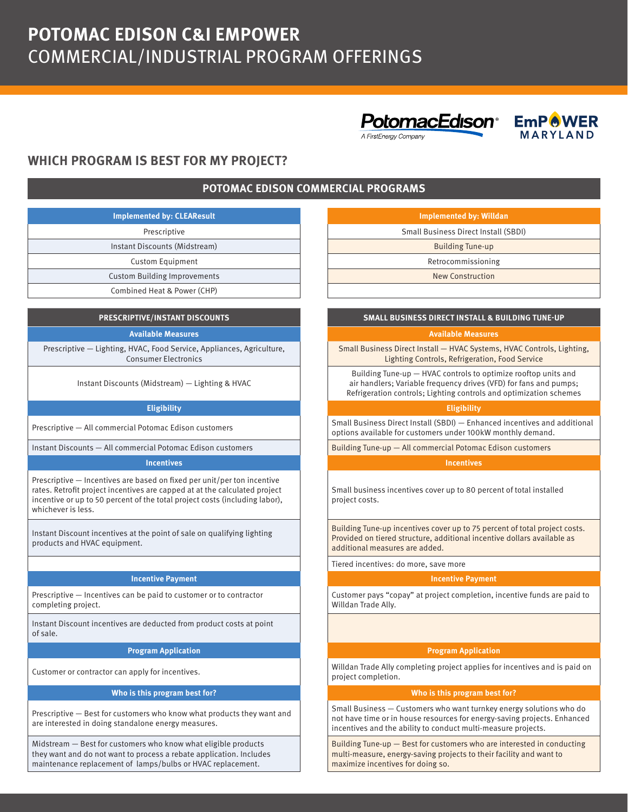# **POTOMAC EDISON C&I EMPOWER** COMMERCIAL/INDUSTRIAL PROGRAM OFFERINGS







# **WHICH PROGRAM IS BEST FOR MY PROJECT?**

## **POTOMAC EDISON COMMERCIAL PROGRAMS**

| <b>Implemented by: CLEAResult</b>   | <b>Implemented by: Willdan</b>  |
|-------------------------------------|---------------------------------|
| Prescriptive                        | Small Business Direct Install ( |
| Instant Discounts (Midstream)       | <b>Building Tune-up</b>         |
| Custom Equipment                    | Retrocommissioning              |
| <b>Custom Building Improvements</b> | <b>New Construction</b>         |
| Combined Heat & Power (CHP)         |                                 |

Prescriptive — Lighting, HVAC, Food Service, Appliances, Agriculture, Consumer Electronics

Instant Discounts (Midstream) — Lighting & HVAC

Instant Discounts — All commercial Potomac Edison customers **Building Tune-up — All commercial Potomac Edison customers** 

### **Incentives Incentives**

Prescriptive — Incentives are based on fixed per unit/per ton incentive rates. Retrofit project incentives are capped at at the calculated project incentive or up to 50 percent of the total project costs (including labor), whichever is less.

Instant Discount incentives at the point of sale on qualifying lighting products and HVAC equipment.

### **Incentive Payment Incentive Payment**

Prescriptive — Incentives can be paid to customer or to contractor completing project.

Instant Discount incentives are deducted from product costs at point of sale.

### **Who is this program best for? Who is this program best for?**

Prescriptive — Best for customers who know what products they want and are interested in doing standalone energy measures.

Midstream — Best for customers who know what eligible products they want and do not want to process a rebate application. Includes maintenance replacement of lamps/bulbs or HVAC replacement.

| emented by: CLEAResult_  | Implemented by: Willdan              |
|--------------------------|--------------------------------------|
| Prescriptive             | Small Business Direct Install (SBDI) |
| nt Discounts (Midstream) | <b>Building Tune-up</b>              |
| Custom Equipment         | Retrocommissioning                   |
| m Building Improvements  | New Construction                     |
| ined Heat 8, Power (CHP) |                                      |

### **PRESCRIPTIVE/INSTANT DISCOUNTS SMALL BUSINESS DIRECT INSTALL & BUILDING TUNE-UP**

### **Available Measures Available Measures**

Small Business Direct Install — HVAC Systems, HVAC Controls, Lighting, Lighting Controls, Refrigeration, Food Service

Building Tune-up — HVAC controls to optimize rooftop units and air handlers; Variable frequency drives (VFD) for fans and pumps; Refrigeration controls; Lighting controls and optimization schemes

### **Eligibility Eligibility**

Prescriptive — All commercial Potomac Edison customers Small Business Direct Install (SBDI) — Enhanced incentives and additional options available for customers under 100kW monthly demand.

Small business incentives cover up to 80 percent of total installed project costs.

Building Tune-up incentives cover up to 75 percent of total project costs. Provided on tiered structure, additional incentive dollars available as additional measures are added.

Tiered incentives: do more, save more

Customer pays "copay" at project completion, incentive funds are paid to Willdan Trade Ally.

### **Program Application Program Application**

Customer or contractor can apply for incentives. Willdan Trade Ally completing project applies for incentives and is paid on project completion.

Small Business — Customers who want turnkey energy solutions who do not have time or in house resources for energy-saving projects. Enhanced incentives and the ability to conduct multi-measure projects.

Building Tune-up — Best for customers who are interested in conducting multi-measure, energy-saving projects to their facility and want to maximize incentives for doing so.